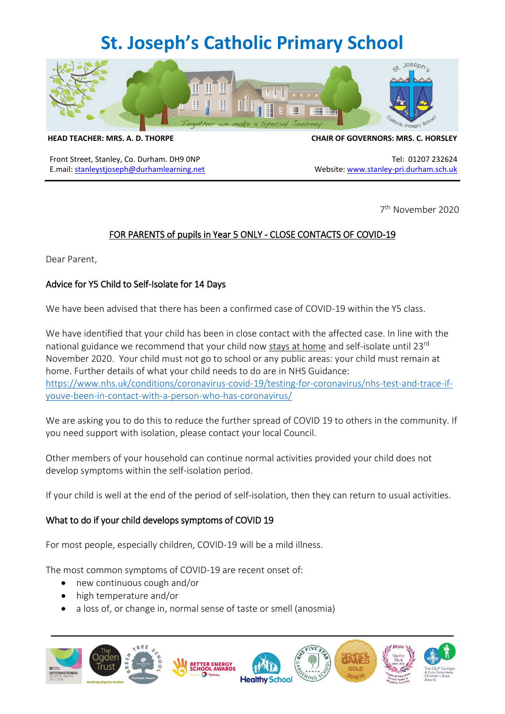## **St. Joseph's Catholic Primary School**



**HEAD TEACHER: MRS. A. D. THORPE CHAIR OF GOVERNORS: MRS. C. HORSLEY**

Front Street, Stanley, Co. Durham. DH9 0NP Tel: 01207 232624 E.mail: [stanleystjoseph@durhamlearning.net](mailto:stanleystjoseph@durhamlearning.net) Website[: www.stanley-pri.durham.sch.uk](http://www.stanley-pri.durham.sch.uk/)

7 th November 2020

## FOR PARENTS of pupils in Year 5 ONLY - CLOSE CONTACTS OF COVID-19

Dear Parent,

#### Advice for Y5 Child to Self-Isolate for 14 Days

We have been advised that there has been a confirmed case of COVID-19 within the Y5 class.

We have identified that your child has been in close contact with the affected case. In line with the national guidance we recommend that your child now stays at home and self-isolate until 23rd November 2020. Your child must not go to school or any public areas: your child must remain at home. Further details of what your child needs to do are in NHS Guidance: [https://www.nhs.uk/conditions/coronavirus-covid-19/testing-for-coronavirus/nhs-test-and-trace-if](https://www.nhs.uk/conditions/coronavirus-covid-19/testing-for-coronavirus/nhs-test-and-trace-if-youve-been-in-contact-with-a-person-who-has-coronavirus/)[youve-been-in-contact-with-a-person-who-has-coronavirus/](https://www.nhs.uk/conditions/coronavirus-covid-19/testing-for-coronavirus/nhs-test-and-trace-if-youve-been-in-contact-with-a-person-who-has-coronavirus/)

We are asking you to do this to reduce the further spread of COVID 19 to others in the community. If you need support with isolation, please contact your local Council.

Other members of your household can continue normal activities provided your child does not develop symptoms within the self-isolation period.

If your child is well at the end of the period of self-isolation, then they can return to usual activities.

### What to do if your child develops symptoms of COVID 19

For most people, especially children, COVID-19 will be a mild illness.

The most common symptoms of COVID-19 are recent onset of:

- new continuous cough and/or
- high temperature and/or
- a loss of, or change in, normal sense of taste or smell (anosmia)